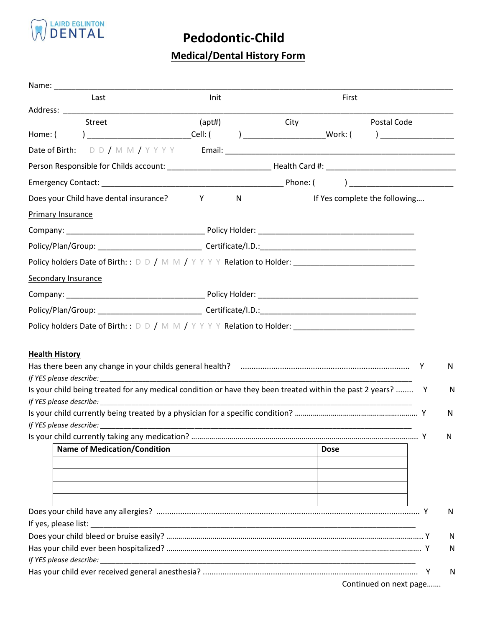

## **Pedodontic-Child**

## **Medical/Dental History Form**

| Init<br>Last<br>First<br>Street<br>(apt#)<br>Postal Code<br>City<br>$\begin{array}{c} \text{Cell:} \end{array}$<br>) and the contract of $\overline{\phantom{a}}$<br>Y<br>N<br>If Yes complete the following<br>N<br>Y<br><b>Name of Medication/Condition</b><br><b>Dose</b><br><u> 1980 - Johann Barn, mars ann an t-Amhain Aonaich an t-Aonaich an t-Aonaich ann an t-Aonaich ann an t-Aonaich</u>                                     |  |  |  |  |
|------------------------------------------------------------------------------------------------------------------------------------------------------------------------------------------------------------------------------------------------------------------------------------------------------------------------------------------------------------------------------------------------------------------------------------------|--|--|--|--|
| Home: (<br>Does your Child have dental insurance?<br><b>Primary Insurance</b><br>Policy holders Date of Birth: : D D / M M / Y Y Y Y Relation to Holder: ___________________________<br><b>Secondary Insurance</b><br>Policy holders Date of Birth: : D D / M M / Y Y Y Y Relation to Holder: ___________________________<br>Is your child being treated for any medical condition or have they been treated within the past 2 years?  Y |  |  |  |  |
|                                                                                                                                                                                                                                                                                                                                                                                                                                          |  |  |  |  |
|                                                                                                                                                                                                                                                                                                                                                                                                                                          |  |  |  |  |
| ) and the contract of the contract of $\mathcal{L}$<br>N<br>N                                                                                                                                                                                                                                                                                                                                                                            |  |  |  |  |
|                                                                                                                                                                                                                                                                                                                                                                                                                                          |  |  |  |  |
| <b>Health History</b>                                                                                                                                                                                                                                                                                                                                                                                                                    |  |  |  |  |
|                                                                                                                                                                                                                                                                                                                                                                                                                                          |  |  |  |  |
|                                                                                                                                                                                                                                                                                                                                                                                                                                          |  |  |  |  |
|                                                                                                                                                                                                                                                                                                                                                                                                                                          |  |  |  |  |
|                                                                                                                                                                                                                                                                                                                                                                                                                                          |  |  |  |  |
|                                                                                                                                                                                                                                                                                                                                                                                                                                          |  |  |  |  |
|                                                                                                                                                                                                                                                                                                                                                                                                                                          |  |  |  |  |
|                                                                                                                                                                                                                                                                                                                                                                                                                                          |  |  |  |  |
|                                                                                                                                                                                                                                                                                                                                                                                                                                          |  |  |  |  |
|                                                                                                                                                                                                                                                                                                                                                                                                                                          |  |  |  |  |
| N<br>N<br>N<br>N<br>N                                                                                                                                                                                                                                                                                                                                                                                                                    |  |  |  |  |
|                                                                                                                                                                                                                                                                                                                                                                                                                                          |  |  |  |  |
|                                                                                                                                                                                                                                                                                                                                                                                                                                          |  |  |  |  |
|                                                                                                                                                                                                                                                                                                                                                                                                                                          |  |  |  |  |
|                                                                                                                                                                                                                                                                                                                                                                                                                                          |  |  |  |  |
|                                                                                                                                                                                                                                                                                                                                                                                                                                          |  |  |  |  |
|                                                                                                                                                                                                                                                                                                                                                                                                                                          |  |  |  |  |
|                                                                                                                                                                                                                                                                                                                                                                                                                                          |  |  |  |  |
|                                                                                                                                                                                                                                                                                                                                                                                                                                          |  |  |  |  |

Continued on next page…….